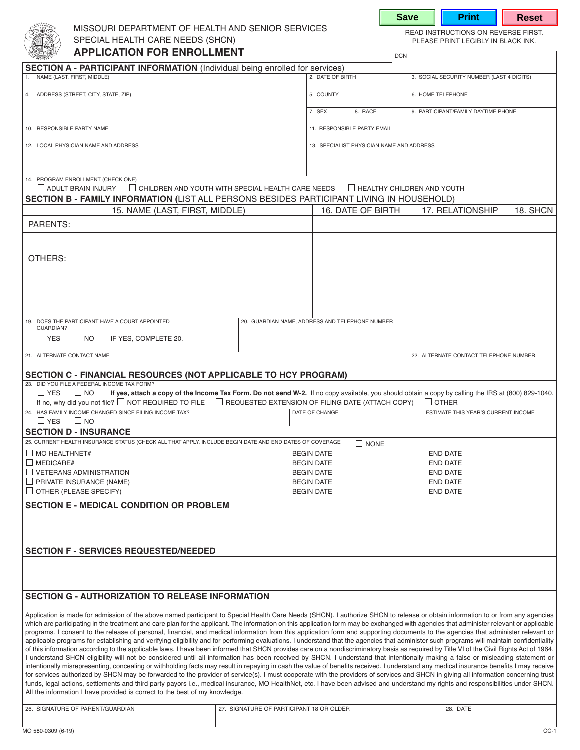

# MISSOURI DEPARTMENT OF HEALTH AND SENIOR SERVICES<br>SPECIAL HEALTH CARE NEEDS (SHCN) THE READ INSTRUCTIONS ON REVERSE FIRST. SPECIAL HEALTH CARE NEEDS (SHCN) **APPLICATION FOR ENROLLMENT**

**Save | Print | Reset** 

| <b>SECTION A - PARTICIPANT INFORMATION</b> (Individual being enrolled for services)                                                                                                                                                                                                                                                                                                                                                                                                                                                                                                                                                                                                                                                                                                                                                                                                                                                                                                                                                                                                                                                                                                                                                                                                                                                                                                                                                                                                                                                                                                                                                                                                                                                                                                                  |                                          |        |                                                     |  |                                     |                                           |  |  |
|------------------------------------------------------------------------------------------------------------------------------------------------------------------------------------------------------------------------------------------------------------------------------------------------------------------------------------------------------------------------------------------------------------------------------------------------------------------------------------------------------------------------------------------------------------------------------------------------------------------------------------------------------------------------------------------------------------------------------------------------------------------------------------------------------------------------------------------------------------------------------------------------------------------------------------------------------------------------------------------------------------------------------------------------------------------------------------------------------------------------------------------------------------------------------------------------------------------------------------------------------------------------------------------------------------------------------------------------------------------------------------------------------------------------------------------------------------------------------------------------------------------------------------------------------------------------------------------------------------------------------------------------------------------------------------------------------------------------------------------------------------------------------------------------------|------------------------------------------|--------|-----------------------------------------------------|--|-------------------------------------|-------------------------------------------|--|--|
| 1. NAME (LAST, FIRST, MIDDLE)                                                                                                                                                                                                                                                                                                                                                                                                                                                                                                                                                                                                                                                                                                                                                                                                                                                                                                                                                                                                                                                                                                                                                                                                                                                                                                                                                                                                                                                                                                                                                                                                                                                                                                                                                                        |                                          |        | 2. DATE OF BIRTH                                    |  |                                     | 3. SOCIAL SECURITY NUMBER (LAST 4 DIGITS) |  |  |
| 4. ADDRESS (STREET, CITY, STATE, ZIP)                                                                                                                                                                                                                                                                                                                                                                                                                                                                                                                                                                                                                                                                                                                                                                                                                                                                                                                                                                                                                                                                                                                                                                                                                                                                                                                                                                                                                                                                                                                                                                                                                                                                                                                                                                |                                          |        | 5. COUNTY                                           |  |                                     | 6. HOME TELEPHONE                         |  |  |
|                                                                                                                                                                                                                                                                                                                                                                                                                                                                                                                                                                                                                                                                                                                                                                                                                                                                                                                                                                                                                                                                                                                                                                                                                                                                                                                                                                                                                                                                                                                                                                                                                                                                                                                                                                                                      |                                          | 7. SEX | 8. RACE                                             |  | 9. PARTICIPANT/FAMILY DAYTIME PHONE |                                           |  |  |
|                                                                                                                                                                                                                                                                                                                                                                                                                                                                                                                                                                                                                                                                                                                                                                                                                                                                                                                                                                                                                                                                                                                                                                                                                                                                                                                                                                                                                                                                                                                                                                                                                                                                                                                                                                                                      |                                          |        |                                                     |  |                                     |                                           |  |  |
| 10. RESPONSIBLE PARTY NAME                                                                                                                                                                                                                                                                                                                                                                                                                                                                                                                                                                                                                                                                                                                                                                                                                                                                                                                                                                                                                                                                                                                                                                                                                                                                                                                                                                                                                                                                                                                                                                                                                                                                                                                                                                           |                                          |        | 11. RESPONSIBLE PARTY EMAIL                         |  |                                     |                                           |  |  |
| 12. LOCAL PHYSICIAN NAME AND ADDRESS                                                                                                                                                                                                                                                                                                                                                                                                                                                                                                                                                                                                                                                                                                                                                                                                                                                                                                                                                                                                                                                                                                                                                                                                                                                                                                                                                                                                                                                                                                                                                                                                                                                                                                                                                                 |                                          |        | 13. SPECIALIST PHYSICIAN NAME AND ADDRESS           |  |                                     |                                           |  |  |
|                                                                                                                                                                                                                                                                                                                                                                                                                                                                                                                                                                                                                                                                                                                                                                                                                                                                                                                                                                                                                                                                                                                                                                                                                                                                                                                                                                                                                                                                                                                                                                                                                                                                                                                                                                                                      |                                          |        |                                                     |  |                                     |                                           |  |  |
| 14. PROGRAM ENROLLMENT (CHECK ONE)                                                                                                                                                                                                                                                                                                                                                                                                                                                                                                                                                                                                                                                                                                                                                                                                                                                                                                                                                                                                                                                                                                                                                                                                                                                                                                                                                                                                                                                                                                                                                                                                                                                                                                                                                                   |                                          |        |                                                     |  |                                     |                                           |  |  |
| $\Box$ ADULT BRAIN INJURY<br>$\Box$ CHILDREN AND YOUTH WITH SPECIAL HEALTH CARE NEEDS $\Box$ HEALTHY CHILDREN AND YOUTH                                                                                                                                                                                                                                                                                                                                                                                                                                                                                                                                                                                                                                                                                                                                                                                                                                                                                                                                                                                                                                                                                                                                                                                                                                                                                                                                                                                                                                                                                                                                                                                                                                                                              |                                          |        |                                                     |  |                                     |                                           |  |  |
| SECTION B - FAMILY INFORMATION (LIST ALL PERSONS BESIDES PARTICIPANT LIVING IN HOUSEHOLD)<br>15. NAME (LAST, FIRST, MIDDLE)                                                                                                                                                                                                                                                                                                                                                                                                                                                                                                                                                                                                                                                                                                                                                                                                                                                                                                                                                                                                                                                                                                                                                                                                                                                                                                                                                                                                                                                                                                                                                                                                                                                                          |                                          |        | 16. DATE OF BIRTH<br>17. RELATIONSHIP<br>18. SHCN   |  |                                     |                                           |  |  |
| <b>PARENTS:</b>                                                                                                                                                                                                                                                                                                                                                                                                                                                                                                                                                                                                                                                                                                                                                                                                                                                                                                                                                                                                                                                                                                                                                                                                                                                                                                                                                                                                                                                                                                                                                                                                                                                                                                                                                                                      |                                          |        |                                                     |  |                                     |                                           |  |  |
|                                                                                                                                                                                                                                                                                                                                                                                                                                                                                                                                                                                                                                                                                                                                                                                                                                                                                                                                                                                                                                                                                                                                                                                                                                                                                                                                                                                                                                                                                                                                                                                                                                                                                                                                                                                                      |                                          |        |                                                     |  |                                     |                                           |  |  |
|                                                                                                                                                                                                                                                                                                                                                                                                                                                                                                                                                                                                                                                                                                                                                                                                                                                                                                                                                                                                                                                                                                                                                                                                                                                                                                                                                                                                                                                                                                                                                                                                                                                                                                                                                                                                      |                                          |        |                                                     |  |                                     |                                           |  |  |
| OTHERS:                                                                                                                                                                                                                                                                                                                                                                                                                                                                                                                                                                                                                                                                                                                                                                                                                                                                                                                                                                                                                                                                                                                                                                                                                                                                                                                                                                                                                                                                                                                                                                                                                                                                                                                                                                                              |                                          |        |                                                     |  |                                     |                                           |  |  |
|                                                                                                                                                                                                                                                                                                                                                                                                                                                                                                                                                                                                                                                                                                                                                                                                                                                                                                                                                                                                                                                                                                                                                                                                                                                                                                                                                                                                                                                                                                                                                                                                                                                                                                                                                                                                      |                                          |        |                                                     |  |                                     |                                           |  |  |
|                                                                                                                                                                                                                                                                                                                                                                                                                                                                                                                                                                                                                                                                                                                                                                                                                                                                                                                                                                                                                                                                                                                                                                                                                                                                                                                                                                                                                                                                                                                                                                                                                                                                                                                                                                                                      |                                          |        |                                                     |  |                                     |                                           |  |  |
|                                                                                                                                                                                                                                                                                                                                                                                                                                                                                                                                                                                                                                                                                                                                                                                                                                                                                                                                                                                                                                                                                                                                                                                                                                                                                                                                                                                                                                                                                                                                                                                                                                                                                                                                                                                                      |                                          |        |                                                     |  |                                     |                                           |  |  |
|                                                                                                                                                                                                                                                                                                                                                                                                                                                                                                                                                                                                                                                                                                                                                                                                                                                                                                                                                                                                                                                                                                                                                                                                                                                                                                                                                                                                                                                                                                                                                                                                                                                                                                                                                                                                      |                                          |        |                                                     |  |                                     |                                           |  |  |
| 19. DOES THE PARTICIPANT HAVE A COURT APPOINTED<br>20. GUARDIAN NAME, ADDRESS AND TELEPHONE NUMBER<br><b>GUARDIAN?</b>                                                                                                                                                                                                                                                                                                                                                                                                                                                                                                                                                                                                                                                                                                                                                                                                                                                                                                                                                                                                                                                                                                                                                                                                                                                                                                                                                                                                                                                                                                                                                                                                                                                                               |                                          |        |                                                     |  |                                     |                                           |  |  |
| $\Box$ YES<br>$\Box$ NO<br>IF YES, COMPLETE 20.                                                                                                                                                                                                                                                                                                                                                                                                                                                                                                                                                                                                                                                                                                                                                                                                                                                                                                                                                                                                                                                                                                                                                                                                                                                                                                                                                                                                                                                                                                                                                                                                                                                                                                                                                      |                                          |        |                                                     |  |                                     |                                           |  |  |
| 21. ALTERNATE CONTACT NAME                                                                                                                                                                                                                                                                                                                                                                                                                                                                                                                                                                                                                                                                                                                                                                                                                                                                                                                                                                                                                                                                                                                                                                                                                                                                                                                                                                                                                                                                                                                                                                                                                                                                                                                                                                           |                                          |        |                                                     |  |                                     | 22. ALTERNATE CONTACT TELEPHONE NUMBER    |  |  |
|                                                                                                                                                                                                                                                                                                                                                                                                                                                                                                                                                                                                                                                                                                                                                                                                                                                                                                                                                                                                                                                                                                                                                                                                                                                                                                                                                                                                                                                                                                                                                                                                                                                                                                                                                                                                      |                                          |        |                                                     |  |                                     |                                           |  |  |
| SECTION C - FINANCIAL RESOURCES (NOT APPLICABLE TO HCY PROGRAM)<br>23. DID YOU FILE A FEDERAL INCOME TAX FORM?                                                                                                                                                                                                                                                                                                                                                                                                                                                                                                                                                                                                                                                                                                                                                                                                                                                                                                                                                                                                                                                                                                                                                                                                                                                                                                                                                                                                                                                                                                                                                                                                                                                                                       |                                          |        |                                                     |  |                                     |                                           |  |  |
| $\Box$ YES<br>$\Box$ NO<br>If yes, attach a copy of the Income Tax Form. Do not send W-2. If no copy available, you should obtain a copy by calling the IRS at (800) 829-1040.                                                                                                                                                                                                                                                                                                                                                                                                                                                                                                                                                                                                                                                                                                                                                                                                                                                                                                                                                                                                                                                                                                                                                                                                                                                                                                                                                                                                                                                                                                                                                                                                                       |                                          |        |                                                     |  |                                     |                                           |  |  |
| If no, why did you not file? $\Box$ NOT REQUIRED TO FILE $\Box$ REQUESTED EXTENSION OF FILING DATE (ATTACH COPY)<br>24. HAS FAMILY INCOME CHANGED SINCE FILING INCOME TAX?<br>DATE OF CHANGE                                                                                                                                                                                                                                                                                                                                                                                                                                                                                                                                                                                                                                                                                                                                                                                                                                                                                                                                                                                                                                                                                                                                                                                                                                                                                                                                                                                                                                                                                                                                                                                                         |                                          |        | $\Box$ OTHER<br>ESTIMATE THIS YEAR'S CURRENT INCOME |  |                                     |                                           |  |  |
| $\Box$ YES $\Box$ NO                                                                                                                                                                                                                                                                                                                                                                                                                                                                                                                                                                                                                                                                                                                                                                                                                                                                                                                                                                                                                                                                                                                                                                                                                                                                                                                                                                                                                                                                                                                                                                                                                                                                                                                                                                                 |                                          |        |                                                     |  |                                     |                                           |  |  |
| <b>SECTION D - INSURANCE</b>                                                                                                                                                                                                                                                                                                                                                                                                                                                                                                                                                                                                                                                                                                                                                                                                                                                                                                                                                                                                                                                                                                                                                                                                                                                                                                                                                                                                                                                                                                                                                                                                                                                                                                                                                                         |                                          |        |                                                     |  |                                     |                                           |  |  |
| 25. CURRENT HEALTH INSURANCE STATUS (CHECK ALL THAT APPLY, INCLUDE BEGIN DATE AND END DATES OF COVERAGE<br>$\Box$ NONE                                                                                                                                                                                                                                                                                                                                                                                                                                                                                                                                                                                                                                                                                                                                                                                                                                                                                                                                                                                                                                                                                                                                                                                                                                                                                                                                                                                                                                                                                                                                                                                                                                                                               |                                          |        |                                                     |  |                                     |                                           |  |  |
| $\Box$ MO HEALTHNET#<br>$\Box$ MEDICARE#                                                                                                                                                                                                                                                                                                                                                                                                                                                                                                                                                                                                                                                                                                                                                                                                                                                                                                                                                                                                                                                                                                                                                                                                                                                                                                                                                                                                                                                                                                                                                                                                                                                                                                                                                             |                                          |        | <b>BEGIN DATE</b><br><b>BEGIN DATE</b>              |  |                                     | <b>END DATE</b><br><b>END DATE</b>        |  |  |
| $\Box$ VETERANS ADMINISTRATION                                                                                                                                                                                                                                                                                                                                                                                                                                                                                                                                                                                                                                                                                                                                                                                                                                                                                                                                                                                                                                                                                                                                                                                                                                                                                                                                                                                                                                                                                                                                                                                                                                                                                                                                                                       |                                          |        | <b>BEGIN DATE</b>                                   |  |                                     | <b>END DATE</b>                           |  |  |
| $\Box$ PRIVATE INSURANCE (NAME)                                                                                                                                                                                                                                                                                                                                                                                                                                                                                                                                                                                                                                                                                                                                                                                                                                                                                                                                                                                                                                                                                                                                                                                                                                                                                                                                                                                                                                                                                                                                                                                                                                                                                                                                                                      |                                          |        | <b>BEGIN DATE</b>                                   |  |                                     | <b>END DATE</b>                           |  |  |
| $\Box$ OTHER (PLEASE SPECIFY)                                                                                                                                                                                                                                                                                                                                                                                                                                                                                                                                                                                                                                                                                                                                                                                                                                                                                                                                                                                                                                                                                                                                                                                                                                                                                                                                                                                                                                                                                                                                                                                                                                                                                                                                                                        |                                          |        | <b>BEGIN DATE</b>                                   |  |                                     | <b>END DATE</b>                           |  |  |
| <b>SECTION E - MEDICAL CONDITION OR PROBLEM</b>                                                                                                                                                                                                                                                                                                                                                                                                                                                                                                                                                                                                                                                                                                                                                                                                                                                                                                                                                                                                                                                                                                                                                                                                                                                                                                                                                                                                                                                                                                                                                                                                                                                                                                                                                      |                                          |        |                                                     |  |                                     |                                           |  |  |
|                                                                                                                                                                                                                                                                                                                                                                                                                                                                                                                                                                                                                                                                                                                                                                                                                                                                                                                                                                                                                                                                                                                                                                                                                                                                                                                                                                                                                                                                                                                                                                                                                                                                                                                                                                                                      |                                          |        |                                                     |  |                                     |                                           |  |  |
|                                                                                                                                                                                                                                                                                                                                                                                                                                                                                                                                                                                                                                                                                                                                                                                                                                                                                                                                                                                                                                                                                                                                                                                                                                                                                                                                                                                                                                                                                                                                                                                                                                                                                                                                                                                                      |                                          |        |                                                     |  |                                     |                                           |  |  |
| <b>SECTION F - SERVICES REQUESTED/NEEDED</b>                                                                                                                                                                                                                                                                                                                                                                                                                                                                                                                                                                                                                                                                                                                                                                                                                                                                                                                                                                                                                                                                                                                                                                                                                                                                                                                                                                                                                                                                                                                                                                                                                                                                                                                                                         |                                          |        |                                                     |  |                                     |                                           |  |  |
|                                                                                                                                                                                                                                                                                                                                                                                                                                                                                                                                                                                                                                                                                                                                                                                                                                                                                                                                                                                                                                                                                                                                                                                                                                                                                                                                                                                                                                                                                                                                                                                                                                                                                                                                                                                                      |                                          |        |                                                     |  |                                     |                                           |  |  |
|                                                                                                                                                                                                                                                                                                                                                                                                                                                                                                                                                                                                                                                                                                                                                                                                                                                                                                                                                                                                                                                                                                                                                                                                                                                                                                                                                                                                                                                                                                                                                                                                                                                                                                                                                                                                      |                                          |        |                                                     |  |                                     |                                           |  |  |
|                                                                                                                                                                                                                                                                                                                                                                                                                                                                                                                                                                                                                                                                                                                                                                                                                                                                                                                                                                                                                                                                                                                                                                                                                                                                                                                                                                                                                                                                                                                                                                                                                                                                                                                                                                                                      |                                          |        |                                                     |  |                                     |                                           |  |  |
| SECTION G - AUTHORIZATION TO RELEASE INFORMATION                                                                                                                                                                                                                                                                                                                                                                                                                                                                                                                                                                                                                                                                                                                                                                                                                                                                                                                                                                                                                                                                                                                                                                                                                                                                                                                                                                                                                                                                                                                                                                                                                                                                                                                                                     |                                          |        |                                                     |  |                                     |                                           |  |  |
| Application is made for admission of the above named participant to Special Health Care Needs (SHCN). I authorize SHCN to release or obtain information to or from any agencies<br>which are participating in the treatment and care plan for the applicant. The information on this application form may be exchanged with agencies that administer relevant or applicable<br>programs. I consent to the release of personal, financial, and medical information from this application form and supporting documents to the agencies that administer relevant or<br>applicable programs for establishing and verifying eligibility and for performing evaluations. I understand that the agencies that administer such programs will maintain confidentiality<br>of this information according to the applicable laws. I have been informed that SHCN provides care on a nondiscriminatory basis as required by Title VI of the Civil Rights Act of 1964.<br>I understand SHCN eligibility will not be considered until all information has been received by SHCN. I understand that intentionally making a false or misleading statement or<br>intentionally misrepresenting, concealing or withholding facts may result in repaying in cash the value of benefits received. I understand any medical insurance benefits I may receive<br>for services authorized by SHCN may be forwarded to the provider of service(s). I must cooperate with the providers of services and SHCN in giving all information concerning trust<br>funds, legal actions, settlements and third party payors i.e., medical insurance, MO HealthNet, etc. I have been advised and understand my rights and responsibilities under SHCN.<br>All the information I have provided is correct to the best of my knowledge. |                                          |        |                                                     |  |                                     |                                           |  |  |
| 26. SIGNATURE OF PARENT/GUARDIAN                                                                                                                                                                                                                                                                                                                                                                                                                                                                                                                                                                                                                                                                                                                                                                                                                                                                                                                                                                                                                                                                                                                                                                                                                                                                                                                                                                                                                                                                                                                                                                                                                                                                                                                                                                     | 27. SIGNATURE OF PARTICIPANT 18 OR OLDER |        |                                                     |  |                                     | 28. DATE                                  |  |  |